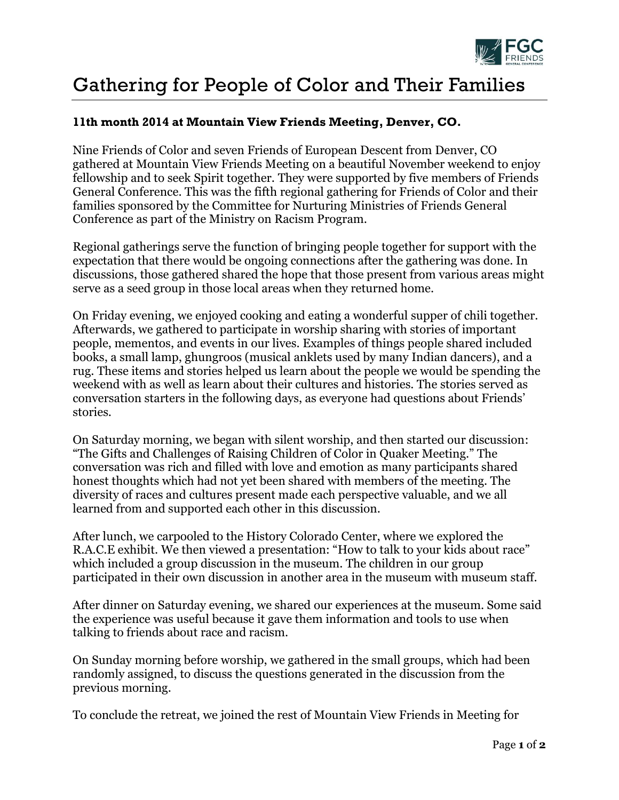

## Gathering for People of Color and Their Families

## **11th month 2014 at Mountain View Friends Meeting, Denver, CO.**

Nine Friends of Color and seven Friends of European Descent from Denver, CO gathered at Mountain View Friends Meeting on a beautiful November weekend to enjoy fellowship and to seek Spirit together. They were supported by five members of Friends General Conference. This was the fifth regional gathering for Friends of Color and their families sponsored by the Committee for Nurturing Ministries of Friends General Conference as part of the Ministry on Racism Program.

Regional gatherings serve the function of bringing people together for support with the expectation that there would be ongoing connections after the gathering was done. In discussions, those gathered shared the hope that those present from various areas might serve as a seed group in those local areas when they returned home.

On Friday evening, we enjoyed cooking and eating a wonderful supper of chili together. Afterwards, we gathered to participate in worship sharing with stories of important people, mementos, and events in our lives. Examples of things people shared included books, a small lamp, ghungroos (musical anklets used by many Indian dancers), and a rug. These items and stories helped us learn about the people we would be spending the weekend with as well as learn about their cultures and histories. The stories served as conversation starters in the following days, as everyone had questions about Friends' stories.

On Saturday morning, we began with silent worship, and then started our discussion: "The Gifts and Challenges of Raising Children of Color in Quaker Meeting." The conversation was rich and filled with love and emotion as many participants shared honest thoughts which had not yet been shared with members of the meeting. The diversity of races and cultures present made each perspective valuable, and we all learned from and supported each other in this discussion.

After lunch, we carpooled to the History Colorado Center, where we explored the R.A.C.E exhibit. We then viewed a presentation: "How to talk to your kids about race" which included a group discussion in the museum. The children in our group participated in their own discussion in another area in the museum with museum staff.

After dinner on Saturday evening, we shared our experiences at the museum. Some said the experience was useful because it gave them information and tools to use when talking to friends about race and racism.

On Sunday morning before worship, we gathered in the small groups, which had been randomly assigned, to discuss the questions generated in the discussion from the previous morning.

To conclude the retreat, we joined the rest of Mountain View Friends in Meeting for